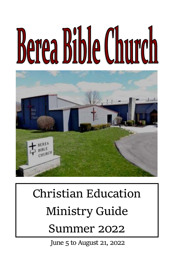# **Berea Bible Church**



# **Christian Education Ministry Guide**

# **Summer 2022**

June 5 to August 21, 2022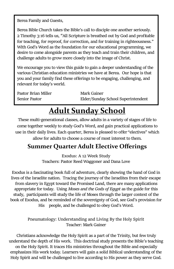Berea Family and Guests,

Berea Bible Church takes the Bible's call to disciple one another seriously. 2 Timothy 3:16 tells us, "All Scripture is breathed out by God and profitable for teaching, for reproof, for correction, and for training in righteousness." With God's Word as the foundation for our educational programming, we desire to come alongside parents as they teach and train their children, and challenge adults to grow more closely into the image of Christ.

We encourage you to view this guide to gain a deeper understanding of the various Christian education ministries we have at Berea. Our hope is that you and your family find these offerings to be engaging, challenging, and relevant for today's world.

| Pastor Brian Miller | Mark Gainer                        |
|---------------------|------------------------------------|
| Senior Pastor       | Elder/Sunday School Superintendent |

### **Adult Sunday School**

These multi-generational classes, allow adults in a variety of stages of life to come together weekly to study God's Word, and gain practical applications to use in their daily lives. Each quarter, Berea is pleased to offer "electives" which allow for adults to choose a course of most interest to them.

#### **Summer Quarter Adult Elective Offerings**

**Exodus: A 12 Week Study** Teachers: Pastor Reed Waggoner and Dana Love

Exodus is a fascinating book full of adventure, clearly showing the hand of God in lives of the Israelite nation. Tracing the journey of the Israelites from their escape from slavery in Egypt toward the Promised Land, there are many applications appropriate for today. Using *Moses and the Gods of Egypt* as the guide for this study, participants will study the life of Moses through the larger context of the book of Exodus, and be reminded of the sovereignty of God, see God's provision for His people, and be challenged to obey God's Word.

> **Pneumatology: Understanding and Living By the Holy Spirit** Teacher: Mark Gainer

Christians acknowledge the Holy Spirit as a part of the Trinity, but few truly understand the depth of His work. This doctrinal study presents the Bible's teaching on the Holy Spirit. It traces His ministries throughout the Bible and especially emphasizes His work today. Learners will gain a solid Biblical understanding of the Holy Spirit and will be challenged to live according to His power as they serve God.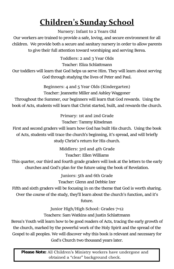## **Children's Sunday School**

**Nursery: Infant to 2 Years Old**

Our workers are trained to provide a safe, loving, and secure environment for all children. We provide both a secure and sanitary nursery in order to allow parents to give their full attention toward worshiping and serving Berea.

**Toddlers: 2 and 3 Year Olds**

Teacher: Eliza Schlattmann

Our toddlers will learn that God helps us serve Him. They will learn about serving God through studying the lives of Peter and Paul.

> **Beginners: 4 and 5 Year Olds (Kindergarten)** Teacher: Jeannette Miller and Ashley Waggoner

Throughout the Summer, our beginners will learn that God rewards. Using the book of Acts, students will learn that Christ started, built, and rewards the church.

> **Primary: 1st and 2nd Grade** Teacher: Tammy Kitselman

First and second graders will learn how God has built His church. Using the book of Acts, students will trace the church's beginning, it's spread, and will briefly study Christ's return for His church.

> **Middlers: 3rd and 4th Grade** Teacher: Ellen Williams

This quarter, our third and fourth grade graders will look at the letters to the early churches and God's plan for the future using the book of Revelation.

> **Juniors: 5th and 6th Grade** Teacher: Glenn and Debbie Izer

Fifth and sixth graders will be focusing in on the theme that God is worth sharing.

Over the course of the study, they'll learn about the church's function, and it's

future.

**Junior High/High School: Grades 7-12**

Teachers: Sam Watkins and Justin Schlattmann

Berea's Youth will learn how to be good readers of Acts, tracing the early growth of the church, marked by the powerful work of the Holy Spirit and the spread of the Gospel to all peoples. We will discover why this book is relevant and necessary for God's Church two thousand years later.

**Please Note:** All Children's Ministry workers have undergone and obtained a "clear" background check.